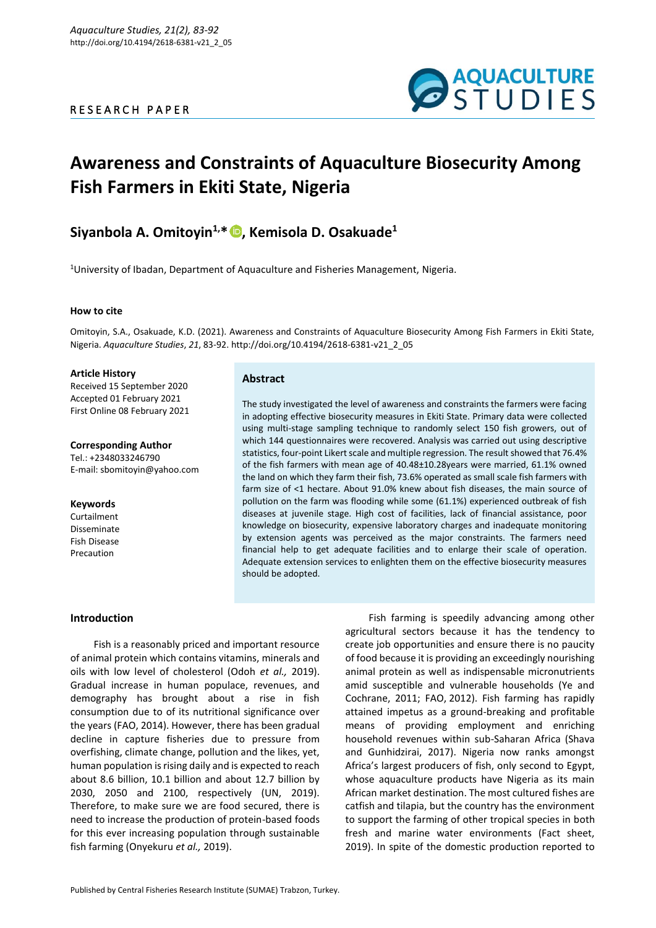## R E S E A R C H P A P E R



# **Awareness and Constraints of Aquaculture Biosecurity Among Fish Farmers in Ekiti State, Nigeria**

## **Siyanbola A. Omitoyin1,\* [,](https://orcid.org/0000-0003-4219-9276) Kemisola D. Osakuade<sup>1</sup>**

<sup>1</sup>University of Ibadan, Department of Aquaculture and Fisheries Management, Nigeria.

## **How to cite**

Omitoyin, S.A., Osakuade, K.D. (2021). Awareness and Constraints of Aquaculture Biosecurity Among Fish Farmers in Ekiti State, Nigeria. *Aquaculture Studies*, *21*, 83-92. http://doi.org/10.4194/2618-6381-v21\_2\_05

#### **Article History**

Received 15 September 2020 Accepted 01 February 2021 First Online 08 February 2021

**Corresponding Author** Tel.: +2348033246790 E-mail: sbomitoyin@yahoo.com

## **Keywords**

Curtailment Disseminate Fish Disease Precaution

## **Abstract**

The study investigated the level of awareness and constraints the farmers were facing in adopting effective biosecurity measures in Ekiti State. Primary data were collected using multi-stage sampling technique to randomly select 150 fish growers, out of which 144 questionnaires were recovered. Analysis was carried out using descriptive statistics, four-point Likert scale and multiple regression. The result showed that 76.4% of the fish farmers with mean age of 40.48±10.28years were married, 61.1% owned the land on which they farm their fish, 73.6% operated as small scale fish farmers with farm size of <1 hectare. About 91.0% knew about fish diseases, the main source of pollution on the farm was flooding while some (61.1%) experienced outbreak of fish diseases at juvenile stage. High cost of facilities, lack of financial assistance, poor knowledge on biosecurity, expensive laboratory charges and inadequate monitoring by extension agents was perceived as the major constraints. The farmers need financial help to get adequate facilities and to enlarge their scale of operation. Adequate extension services to enlighten them on the effective biosecurity measures should be adopted.

## **Introduction**

Fish is a reasonably priced and important resource of animal protein which contains vitamins, minerals and oils with low level of cholesterol (Odoh *et al.,* 2019). Gradual increase in human populace, revenues, and demography has brought about a rise in fish consumption due to of its nutritional significance over the years (FAO, 2014). However, there has been gradual decline in capture fisheries due to pressure from overfishing, climate change, pollution and the likes, yet, human population is rising daily and is expected to reach about 8.6 billion, 10.1 billion and about 12.7 billion by 2030, 2050 and 2100, respectively (UN, 2019). Therefore, to make sure we are food secured, there is need to increase the production of protein-based foods for this ever increasing population through sustainable fish farming (Onyekuru *et al.,* 2019).

Fish farming is speedily advancing among other agricultural sectors because it has the tendency to create job opportunities and ensure there is no paucity of food because it is providing an exceedingly nourishing animal protein as well as indispensable micronutrients amid susceptible and vulnerable households (Ye and Cochrane, 2011; FAO, 2012). Fish farming has rapidly attained impetus as a ground-breaking and profitable means of providing employment and enriching household revenues within sub-Saharan Africa (Shava and Gunhidzirai, 2017). Nigeria now ranks amongst Africa's largest producers of fish, only second to Egypt, whose aquaculture products have Nigeria as its main African market destination. The most cultured fishes are catfish and tilapia, but the country has the environment to support the farming of other tropical species in both fresh and marine water environments (Fact sheet, 2019). In spite of the domestic production reported to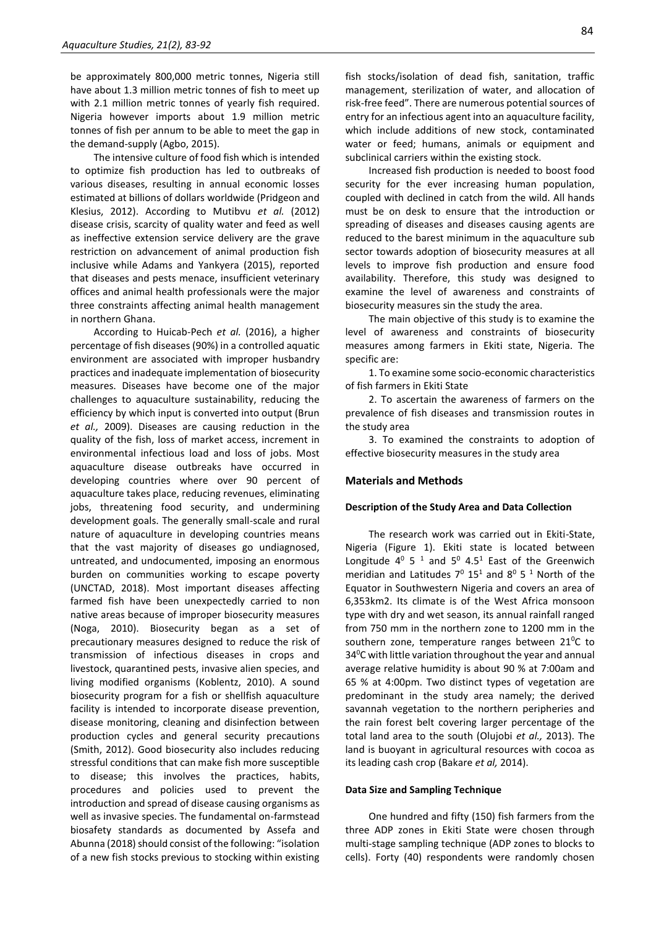be approximately 800,000 metric tonnes, Nigeria still have about 1.3 million metric tonnes of fish to meet up with 2.1 million metric tonnes of yearly fish required. Nigeria however imports about 1.9 million metric tonnes of fish per annum to be able to meet the gap in the demand-supply (Agbo, 2015).

The intensive culture of food fish which is intended to optimize fish production has led to outbreaks of various diseases, resulting in annual economic losses estimated at billions of dollars worldwide (Pridgeon and Klesius, 2012). According to Mutibvu *et al.* (2012) disease crisis, scarcity of quality water and feed as well as ineffective extension service delivery are the grave restriction on advancement of animal production fish inclusive while Adams and Yankyera (2015), reported that diseases and pests menace, insufficient veterinary offices and animal health professionals were the major three constraints affecting animal health management in northern Ghana.

According to Huicab-Pech *et al.* (2016), a higher percentage of fish diseases (90%) in a controlled aquatic environment are associated with improper husbandry practices and inadequate implementation of biosecurity measures. Diseases have become one of the major challenges to aquaculture sustainability, reducing the efficiency by which input is converted into output (Brun *et al.,* 2009). Diseases are causing reduction in the quality of the fish, loss of market access, increment in environmental infectious load and loss of jobs. Most aquaculture disease outbreaks have occurred in developing countries where over 90 percent of aquaculture takes place, reducing revenues, eliminating jobs, threatening food security, and undermining development goals. The generally small-scale and rural nature of aquaculture in developing countries means that the vast majority of diseases go undiagnosed, untreated, and undocumented, imposing an enormous burden on communities working to escape poverty (UNCTAD, 2018). Most important diseases affecting farmed fish have been unexpectedly carried to non native areas because of improper biosecurity measures (Noga, 2010). Biosecurity began as a set of precautionary measures designed to reduce the risk of transmission of infectious diseases in crops and livestock, quarantined pests, invasive alien species, and living modified organisms (Koblentz, 2010). A sound biosecurity program for a fish or shellfish aquaculture facility is intended to incorporate disease prevention, disease monitoring, cleaning and disinfection between production cycles and general security precautions (Smith, 2012). Good biosecurity also includes reducing stressful conditions that can make fish more susceptible to disease; this involves the practices, habits, procedures and policies used to prevent the introduction and spread of disease causing organisms as well as invasive species. The fundamental on-farmstead biosafety standards as documented by Assefa and Abunna (2018) should consist of the following: "isolation of a new fish stocks previous to stocking within existing

Increased fish production is needed to boost food security for the ever increasing human population, coupled with declined in catch from the wild. All hands must be on desk to ensure that the introduction or spreading of diseases and diseases causing agents are reduced to the barest minimum in the aquaculture sub sector towards adoption of biosecurity measures at all levels to improve fish production and ensure food availability. Therefore, this study was designed to examine the level of awareness and constraints of biosecurity measures sin the study the area.

The main objective of this study is to examine the level of awareness and constraints of biosecurity measures among farmers in Ekiti state, Nigeria. The specific are:

1. To examine some socio-economic characteristics of fish farmers in Ekiti State

2. To ascertain the awareness of farmers on the prevalence of fish diseases and transmission routes in the study area

3. To examined the constraints to adoption of effective biosecurity measures in the study area

## **Materials and Methods**

#### **Description of the Study Area and Data Collection**

The research work was carried out in Ekiti-State, Nigeria (Figure 1). Ekiti state is located between Longitude  $4^0$  5<sup>1</sup> and 5<sup>0</sup> 4.5<sup>1</sup> East of the Greenwich meridian and Latitudes  $7^0$  15<sup>1</sup> and  $8^0$  5<sup>1</sup> North of the Equator in Southwestern Nigeria and covers an area of 6,353km2. Its climate is of the West Africa monsoon type with dry and wet season, its annual rainfall ranged from 750 mm in the northern zone to 1200 mm in the southern zone, temperature ranges between  $21^{\circ}$ C to 34<sup>0</sup>C with little variation throughout the year and annual average relative humidity is about 90 % at 7:00am and 65 % at 4:00pm. Two distinct types of vegetation are predominant in the study area namely; the derived savannah vegetation to the northern peripheries and the rain forest belt covering larger percentage of the total land area to the south (Olujobi *et al.,* 2013). The land is buoyant in agricultural resources with cocoa as its leading cash crop (Bakare *et al,* 2014).

## **Data Size and Sampling Technique**

One hundred and fifty (150) fish farmers from the three ADP zones in Ekiti State were chosen through multi-stage sampling technique (ADP zones to blocks to cells). Forty (40) respondents were randomly chosen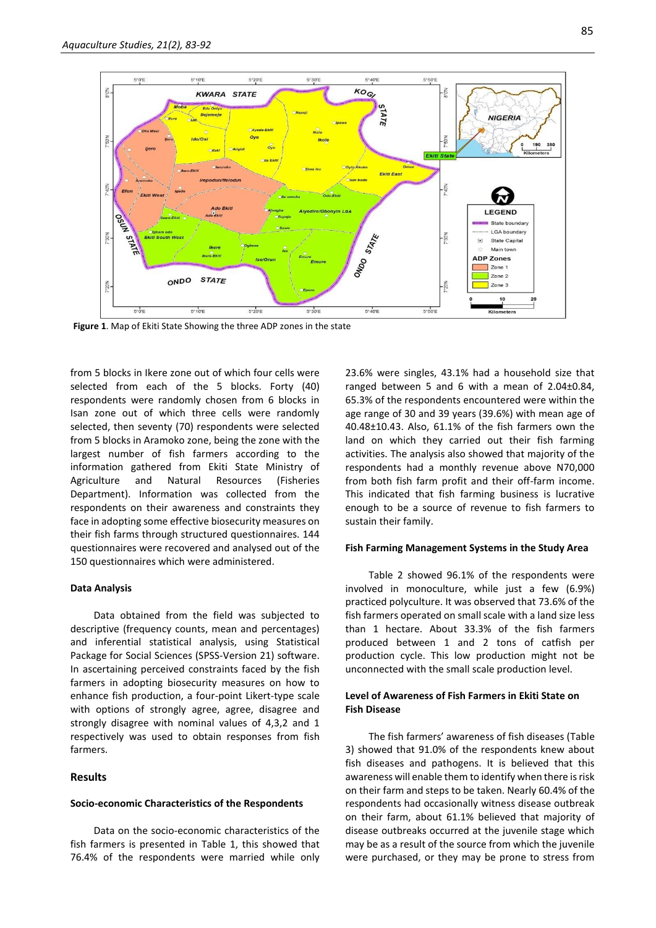

**Figure 1**. Map of Ekiti State Showing the three ADP zones in the state

from 5 blocks in Ikere zone out of which four cells were selected from each of the 5 blocks. Forty (40) respondents were randomly chosen from 6 blocks in Isan zone out of which three cells were randomly selected, then seventy (70) respondents were selected from 5 blocks in Aramoko zone, being the zone with the largest number of fish farmers according to the information gathered from Ekiti State Ministry of Agriculture and Natural Resources (Fisheries Department). Information was collected from the respondents on their awareness and constraints they face in adopting some effective biosecurity measures on their fish farms through structured questionnaires. 144 questionnaires were recovered and analysed out of the 150 questionnaires which were administered.

## **Data Analysis**

Data obtained from the field was subjected to descriptive (frequency counts, mean and percentages) and inferential statistical analysis, using Statistical Package for Social Sciences (SPSS-Version 21) software. In ascertaining perceived constraints faced by the fish farmers in adopting biosecurity measures on how to enhance fish production, a four-point Likert-type scale with options of strongly agree, agree, disagree and strongly disagree with nominal values of 4,3,2 and 1 respectively was used to obtain responses from fish farmers.

## **Results**

#### **Socio-economic Characteristics of the Respondents**

Data on the socio-economic characteristics of the fish farmers is presented in Table 1, this showed that 76.4% of the respondents were married while only

23.6% were singles, 43.1% had a household size that ranged between 5 and 6 with a mean of 2.04±0.84, 65.3% of the respondents encountered were within the age range of 30 and 39 years (39.6%) with mean age of 40.48±10.43. Also, 61.1% of the fish farmers own the land on which they carried out their fish farming activities. The analysis also showed that majority of the respondents had a monthly revenue above N70,000 from both fish farm profit and their off-farm income. This indicated that fish farming business is lucrative enough to be a source of revenue to fish farmers to sustain their family.

## **Fish Farming Management Systems in the Study Area**

Table 2 showed 96.1% of the respondents were involved in monoculture, while just a few (6.9%) practiced polyculture. It was observed that 73.6% of the fish farmers operated on small scale with a land size less than 1 hectare. About 33.3% of the fish farmers produced between 1 and 2 tons of catfish per production cycle. This low production might not be unconnected with the small scale production level.

## **Level of Awareness of Fish Farmers in Ekiti State on Fish Disease**

The fish farmers' awareness of fish diseases (Table 3) showed that 91.0% of the respondents knew about fish diseases and pathogens. It is believed that this awareness will enable them to identify when there is risk on their farm and steps to be taken. Nearly 60.4% of the respondents had occasionally witness disease outbreak on their farm, about 61.1% believed that majority of disease outbreaks occurred at the juvenile stage which may be as a result of the source from which the juvenile were purchased, or they may be prone to stress from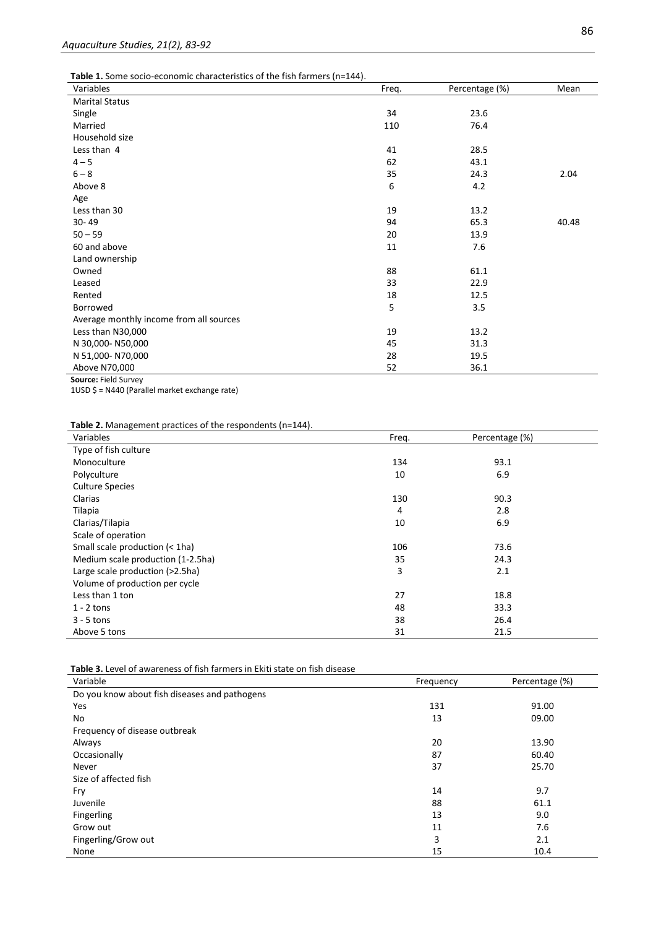**Table 1.** Some socio-economic characteristics of the fish farmers (n=144).

| Variables                               | Freq. | Percentage (%) | Mean  |
|-----------------------------------------|-------|----------------|-------|
| <b>Marital Status</b>                   |       |                |       |
| Single                                  | 34    | 23.6           |       |
| Married                                 | 110   | 76.4           |       |
| Household size                          |       |                |       |
| Less than 4                             | 41    | 28.5           |       |
| $4 - 5$                                 | 62    | 43.1           |       |
| $6 - 8$                                 | 35    | 24.3           | 2.04  |
| Above 8                                 | 6     | 4.2            |       |
| Age                                     |       |                |       |
| Less than 30                            | 19    | 13.2           |       |
| $30 - 49$                               | 94    | 65.3           | 40.48 |
| $50 - 59$                               | 20    | 13.9           |       |
| 60 and above                            | 11    | 7.6            |       |
| Land ownership                          |       |                |       |
| Owned                                   | 88    | 61.1           |       |
| Leased                                  | 33    | 22.9           |       |
| Rented                                  | 18    | 12.5           |       |
| Borrowed                                | 5     | 3.5            |       |
| Average monthly income from all sources |       |                |       |
| Less than N30,000                       | 19    | 13.2           |       |
| N 30,000-N50,000                        | 45    | 31.3           |       |
| N 51,000-N70,000                        | 28    | 19.5           |       |
| Above N70,000                           | 52    | 36.1           |       |
| Source: Field Survey                    |       |                |       |

1USD \$ = N440 (Parallel market exchange rate)

**Table 2.** Management practices of the respondents (n=144).

| Variables                         | Freq. | Percentage (%) |  |
|-----------------------------------|-------|----------------|--|
| Type of fish culture              |       |                |  |
| Monoculture                       | 134   | 93.1           |  |
| Polyculture                       | 10    | 6.9            |  |
| <b>Culture Species</b>            |       |                |  |
| Clarias                           | 130   | 90.3           |  |
| Tilapia                           | 4     | 2.8            |  |
| Clarias/Tilapia                   | 10    | 6.9            |  |
| Scale of operation                |       |                |  |
| Small scale production (< 1ha)    | 106   | 73.6           |  |
| Medium scale production (1-2.5ha) | 35    | 24.3           |  |
| Large scale production (>2.5ha)   | 3     | 2.1            |  |
| Volume of production per cycle    |       |                |  |
| Less than 1 ton                   | 27    | 18.8           |  |
| $1 - 2$ tons                      | 48    | 33.3           |  |
| $3 - 5$ tons                      | 38    | 26.4           |  |
| Above 5 tons                      | 31    | 21.5           |  |

**Table 3.** Level of awareness of fish farmers in Ekiti state on fish disease

| Variable                                      | Frequency | Percentage (%) |
|-----------------------------------------------|-----------|----------------|
| Do you know about fish diseases and pathogens |           |                |
| Yes                                           | 131       | 91.00          |
| No                                            | 13        | 09.00          |
| Frequency of disease outbreak                 |           |                |
| Always                                        | 20        | 13.90          |
| Occasionally                                  | 87        | 60.40          |
| Never                                         | 37        | 25.70          |
| Size of affected fish                         |           |                |
| Fry                                           | 14        | 9.7            |
| Juvenile                                      | 88        | 61.1           |
| Fingerling                                    | 13        | 9.0            |
| Grow out                                      | 11        | 7.6            |
| Fingerling/Grow out                           | 3         | 2.1            |
| None                                          | 15        | 10.4           |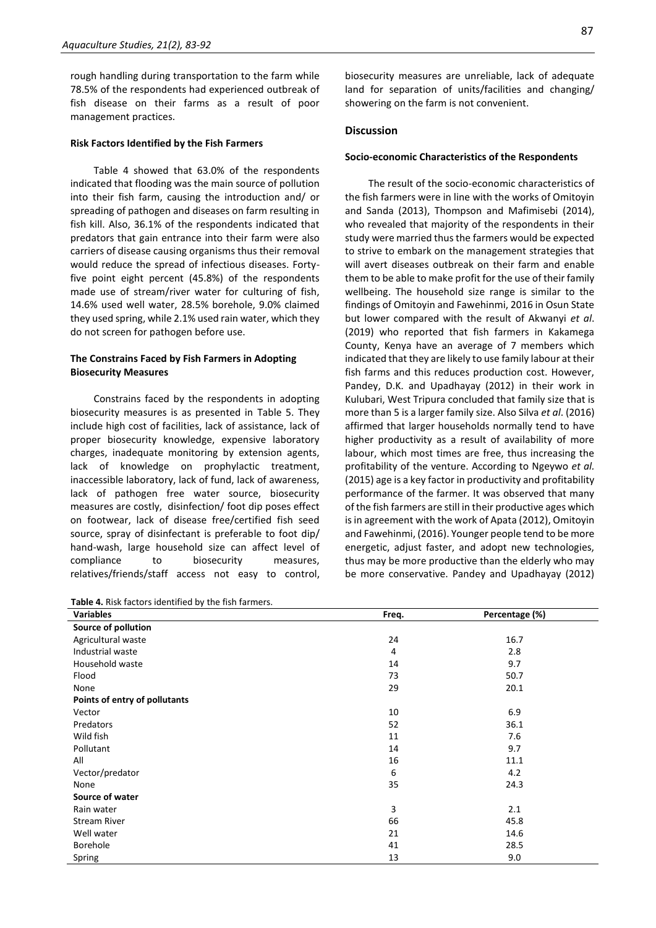rough handling during transportation to the farm while 78.5% of the respondents had experienced outbreak of fish disease on their farms as a result of poor management practices.

#### **Risk Factors Identified by the Fish Farmers**

Table 4 showed that 63.0% of the respondents indicated that flooding was the main source of pollution into their fish farm, causing the introduction and/ or spreading of pathogen and diseases on farm resulting in fish kill. Also, 36.1% of the respondents indicated that predators that gain entrance into their farm were also carriers of disease causing organisms thus their removal would reduce the spread of infectious diseases. Fortyfive point eight percent (45.8%) of the respondents made use of stream/river water for culturing of fish, 14.6% used well water, 28.5% borehole, 9.0% claimed they used spring, while 2.1% used rain water, which they do not screen for pathogen before use.

## **The Constrains Faced by Fish Farmers in Adopting Biosecurity Measures**

Constrains faced by the respondents in adopting biosecurity measures is as presented in Table 5. They include high cost of facilities, lack of assistance, lack of proper biosecurity knowledge, expensive laboratory charges, inadequate monitoring by extension agents, lack of knowledge on prophylactic treatment, inaccessible laboratory, lack of fund, lack of awareness, lack of pathogen free water source, biosecurity measures are costly, disinfection/ foot dip poses effect on footwear, lack of disease free/certified fish seed source, spray of disinfectant is preferable to foot dip/ hand-wash, large household size can affect level of compliance to biosecurity measures, relatives/friends/staff access not easy to control,

**Table 4.** Risk factors identified by the fish farmers.

biosecurity measures are unreliable, lack of adequate land for separation of units/facilities and changing/ showering on the farm is not convenient.

## **Discussion**

#### **Socio-economic Characteristics of the Respondents**

The result of the socio-economic characteristics of the fish farmers were in line with the works of Omitoyin and Sanda (2013), Thompson and Mafimisebi (2014), who revealed that majority of the respondents in their study were married thus the farmers would be expected to strive to embark on the management strategies that will avert diseases outbreak on their farm and enable them to be able to make profit for the use of their family wellbeing. The household size range is similar to the findings of Omitoyin and Fawehinmi, 2016 in Osun State but lower compared with the result of Akwanyi *et al*. (2019) who reported that fish farmers in Kakamega County, Kenya have an average of 7 members which indicated that they are likely to use family labour at their fish farms and this reduces production cost. However, Pandey, D.K. and Upadhayay (2012) in their work in Kulubari, West Tripura concluded that family size that is more than 5 is a larger family size. Also Silva *et al*. (2016) affirmed that larger households normally tend to have higher productivity as a result of availability of more labour, which most times are free, thus increasing the profitability of the venture. According to Ngeywo *et al.* (2015) age is a key factor in productivity and profitability performance of the farmer. It was observed that many of the fish farmers are still in their productive ages which is in agreement with the work of Apata (2012), Omitoyin and Fawehinmi, (2016). Younger people tend to be more energetic, adjust faster, and adopt new technologies, thus may be more productive than the elderly who may be more conservative. Pandey and Upadhayay (2012)

| <b>Variables</b>              | Freq. | Percentage (%) |
|-------------------------------|-------|----------------|
| Source of pollution           |       |                |
| Agricultural waste            | 24    | 16.7           |
| Industrial waste              | 4     | 2.8            |
| Household waste               | 14    | 9.7            |
| Flood                         | 73    | 50.7           |
| None                          | 29    | 20.1           |
| Points of entry of pollutants |       |                |
| Vector                        | 10    | 6.9            |
| Predators                     | 52    | 36.1           |
| Wild fish                     | 11    | 7.6            |
| Pollutant                     | 14    | 9.7            |
| All                           | 16    | 11.1           |
| Vector/predator               | 6     | 4.2            |
| None                          | 35    | 24.3           |
| Source of water               |       |                |
| Rain water                    | 3     | 2.1            |
| <b>Stream River</b>           | 66    | 45.8           |
| Well water                    | 21    | 14.6           |
| Borehole                      | 41    | 28.5           |
| Spring                        | 13    | 9.0            |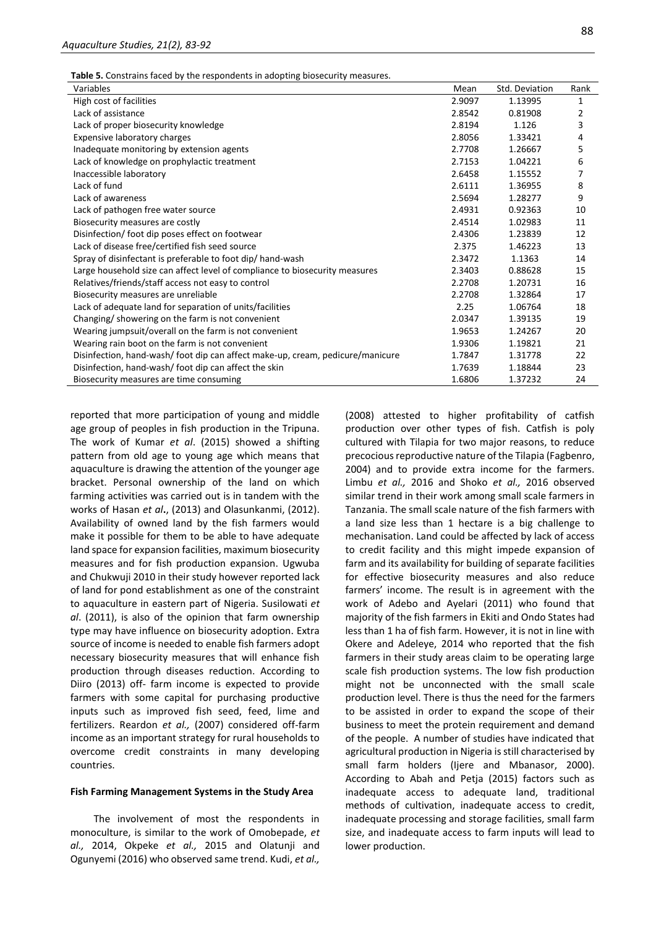**Table 5.** Constrains faced by the respondents in adopting biosecurity measures.

| High cost of facilities<br>2.9097<br>1.13995<br>1<br>Lack of assistance<br>2.8542<br>0.81908<br>2<br>3<br>Lack of proper biosecurity knowledge<br>2.8194<br>1.126<br>Expensive laboratory charges<br>2.8056<br>1.33421<br>4<br>Inadequate monitoring by extension agents<br>1.26667<br>2.7708<br>5<br>Lack of knowledge on prophylactic treatment<br>2.7153<br>1.04221<br>6<br>Inaccessible laboratory<br>2.6458<br>1.15552<br>7<br>Lack of fund<br>2.6111<br>1.36955<br>8<br>Lack of awareness<br>2.5694<br>1.28277<br>9<br>2.4931<br>Lack of pathogen free water source<br>0.92363<br>10 |
|--------------------------------------------------------------------------------------------------------------------------------------------------------------------------------------------------------------------------------------------------------------------------------------------------------------------------------------------------------------------------------------------------------------------------------------------------------------------------------------------------------------------------------------------------------------------------------------------|
|                                                                                                                                                                                                                                                                                                                                                                                                                                                                                                                                                                                            |
|                                                                                                                                                                                                                                                                                                                                                                                                                                                                                                                                                                                            |
|                                                                                                                                                                                                                                                                                                                                                                                                                                                                                                                                                                                            |
|                                                                                                                                                                                                                                                                                                                                                                                                                                                                                                                                                                                            |
|                                                                                                                                                                                                                                                                                                                                                                                                                                                                                                                                                                                            |
|                                                                                                                                                                                                                                                                                                                                                                                                                                                                                                                                                                                            |
|                                                                                                                                                                                                                                                                                                                                                                                                                                                                                                                                                                                            |
|                                                                                                                                                                                                                                                                                                                                                                                                                                                                                                                                                                                            |
|                                                                                                                                                                                                                                                                                                                                                                                                                                                                                                                                                                                            |
|                                                                                                                                                                                                                                                                                                                                                                                                                                                                                                                                                                                            |
| 2.4514<br>1.02983<br>Biosecurity measures are costly<br>11                                                                                                                                                                                                                                                                                                                                                                                                                                                                                                                                 |
| Disinfection/foot dip poses effect on footwear<br>2.4306<br>1.23839<br>12                                                                                                                                                                                                                                                                                                                                                                                                                                                                                                                  |
| Lack of disease free/certified fish seed source<br>2.375<br>1.46223<br>13                                                                                                                                                                                                                                                                                                                                                                                                                                                                                                                  |
| Spray of disinfectant is preferable to foot dip/hand-wash<br>1.1363<br>2.3472<br>14                                                                                                                                                                                                                                                                                                                                                                                                                                                                                                        |
| Large household size can affect level of compliance to biosecurity measures<br>0.88628<br>2.3403<br>15                                                                                                                                                                                                                                                                                                                                                                                                                                                                                     |
| Relatives/friends/staff access not easy to control<br>2.2708<br>1.20731<br>16                                                                                                                                                                                                                                                                                                                                                                                                                                                                                                              |
| Biosecurity measures are unreliable<br>2.2708<br>1.32864<br>17                                                                                                                                                                                                                                                                                                                                                                                                                                                                                                                             |
| Lack of adequate land for separation of units/facilities<br>1.06764<br>2.25<br>18                                                                                                                                                                                                                                                                                                                                                                                                                                                                                                          |
| Changing/ showering on the farm is not convenient<br>2.0347<br>1.39135<br>19                                                                                                                                                                                                                                                                                                                                                                                                                                                                                                               |
| Wearing jumpsuit/overall on the farm is not convenient<br>1.9653<br>1.24267<br>20                                                                                                                                                                                                                                                                                                                                                                                                                                                                                                          |
| Wearing rain boot on the farm is not convenient<br>1.9306<br>1.19821<br>21                                                                                                                                                                                                                                                                                                                                                                                                                                                                                                                 |
| Disinfection, hand-wash/foot dip can affect make-up, cream, pedicure/manicure<br>1.31778<br>1.7847<br>22                                                                                                                                                                                                                                                                                                                                                                                                                                                                                   |
| Disinfection, hand-wash/foot dip can affect the skin<br>1.7639<br>1.18844<br>23                                                                                                                                                                                                                                                                                                                                                                                                                                                                                                            |
| 1.6806<br>1.37232<br>Biosecurity measures are time consuming<br>24                                                                                                                                                                                                                                                                                                                                                                                                                                                                                                                         |

reported that more participation of young and middle age group of peoples in fish production in the Tripuna. The work of Kumar *et al*. (2015) showed a shifting pattern from old age to young age which means that aquaculture is drawing the attention of the younger age bracket. Personal ownership of the land on which farming activities was carried out is in tandem with the works of Hasan *et al***.**, (2013) and Olasunkanmi, (2012). Availability of owned land by the fish farmers would make it possible for them to be able to have adequate land space for expansion facilities, maximum biosecurity measures and for fish production expansion. Ugwuba and Chukwuji 2010 in their study however reported lack of land for pond establishment as one of the constraint to aquaculture in eastern part of Nigeria. Susilowati *et al*. (2011), is also of the opinion that farm ownership type may have influence on biosecurity adoption. Extra source of income is needed to enable fish farmers adopt necessary biosecurity measures that will enhance fish production through diseases reduction. According to Diiro (2013) off- farm income is expected to provide farmers with some capital for purchasing productive inputs such as improved fish seed, feed, lime and fertilizers. Reardon *et al.,* (2007) considered off-farm income as an important strategy for rural households to overcome credit constraints in many developing countries.

## **Fish Farming Management Systems in the Study Area**

The involvement of most the respondents in monoculture, is similar to the work of Omobepade, *et al.,* 2014, Okpeke *et al.,* 2015 and Olatunji and Ogunyemi (2016) who observed same trend. Kudi, *et al.,*  (2008) attested to higher profitability of catfish production over other types of fish. Catfish is poly cultured with Tilapia for two major reasons, to reduce precocious reproductive nature of the Tilapia (Fagbenro, 2004) and to provide extra income for the farmers. Limbu *et al.,* 2016 and Shoko *et al.,* 2016 observed similar trend in their work among small scale farmers in Tanzania. The small scale nature of the fish farmers with a land size less than 1 hectare is a big challenge to mechanisation. Land could be affected by lack of access to credit facility and this might impede expansion of farm and its availability for building of separate facilities for effective biosecurity measures and also reduce farmers' income. The result is in agreement with the work of Adebo and Ayelari (2011) who found that majority of the fish farmers in Ekiti and Ondo States had less than 1 ha of fish farm. However, it is not in line with Okere and Adeleye, 2014 who reported that the fish farmers in their study areas claim to be operating large scale fish production systems. The low fish production might not be unconnected with the small scale production level. There is thus the need for the farmers to be assisted in order to expand the scope of their business to meet the protein requirement and demand of the people. A number of studies have indicated that agricultural production in Nigeria is still characterised by small farm holders (Ijere and Mbanasor, 2000). According to Abah and Petja (2015) factors such as inadequate access to adequate land, traditional methods of cultivation, inadequate access to credit, inadequate processing and storage facilities, small farm size, and inadequate access to farm inputs will lead to lower production.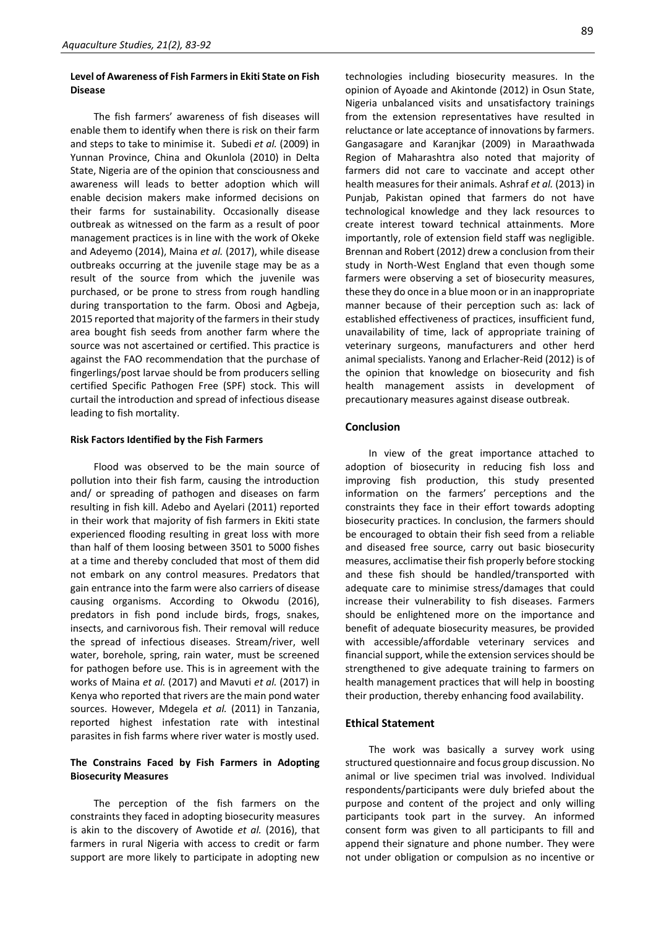## **Level of Awareness of Fish Farmers in Ekiti State on Fish Disease**

The fish farmers' awareness of fish diseases will enable them to identify when there is risk on their farm and steps to take to minimise it. Subedi *et al.* (2009) in Yunnan Province, China and Okunlola (2010) in Delta State, Nigeria are of the opinion that consciousness and awareness will leads to better adoption which will enable decision makers make informed decisions on their farms for sustainability. Occasionally disease outbreak as witnessed on the farm as a result of poor management practices is in line with the work of Okeke and Adeyemo (2014), Maina *et al.* (2017), while disease outbreaks occurring at the juvenile stage may be as a result of the source from which the juvenile was purchased, or be prone to stress from rough handling during transportation to the farm. Obosi and Agbeja, 2015 reported that majority of the farmers in their study area bought fish seeds from another farm where the source was not ascertained or certified. This practice is against the FAO recommendation that the purchase of fingerlings/post larvae should be from producers selling certified Specific Pathogen Free (SPF) stock. This will curtail the introduction and spread of infectious disease leading to fish mortality.

#### **Risk Factors Identified by the Fish Farmers**

Flood was observed to be the main source of pollution into their fish farm, causing the introduction and/ or spreading of pathogen and diseases on farm resulting in fish kill. Adebo and Ayelari (2011) reported in their work that majority of fish farmers in Ekiti state experienced flooding resulting in great loss with more than half of them loosing between 3501 to 5000 fishes at a time and thereby concluded that most of them did not embark on any control measures. Predators that gain entrance into the farm were also carriers of disease causing organisms. According to Okwodu (2016), predators in fish pond include birds, frogs, snakes, insects, and carnivorous fish. Their removal will reduce the spread of infectious diseases. Stream/river, well water, borehole, spring, rain water, must be screened for pathogen before use. This is in agreement with the works of Maina *et al.* (2017) and Mavuti *et al.* (2017) in Kenya who reported that rivers are the main pond water sources. However, Mdegela *et al.* (2011) in Tanzania, reported highest infestation rate with intestinal parasites in fish farms where river water is mostly used.

## **The Constrains Faced by Fish Farmers in Adopting Biosecurity Measures**

The perception of the fish farmers on the constraints they faced in adopting biosecurity measures is akin to the discovery of Awotide *et al.* (2016), that farmers in rural Nigeria with access to credit or farm support are more likely to participate in adopting new 89

technologies including biosecurity measures. In the opinion of Ayoade and Akintonde (2012) in Osun State, Nigeria unbalanced visits and unsatisfactory trainings from the extension representatives have resulted in reluctance or late acceptance of innovations by farmers. Gangasagare and Karanjkar (2009) in Maraathwada Region of Maharashtra also noted that majority of farmers did not care to vaccinate and accept other health measures for their animals. Ashraf *et al.* (2013) in Punjab, Pakistan opined that farmers do not have technological knowledge and they lack resources to create interest toward technical attainments. More importantly, role of extension field staff was negligible. Brennan and Robert (2012) drew a conclusion from their study in North-West England that even though some farmers were observing a set of biosecurity measures, these they do once in a blue moon or in an inappropriate manner because of their perception such as: lack of established effectiveness of practices, insufficient fund, unavailability of time, lack of appropriate training of veterinary surgeons, manufacturers and other herd animal specialists. Yanong and Erlacher-Reid (2012) is of the opinion that knowledge on biosecurity and fish health management assists in development of precautionary measures against disease outbreak.

## **Conclusion**

In view of the great importance attached to adoption of biosecurity in reducing fish loss and improving fish production, this study presented information on the farmers' perceptions and the constraints they face in their effort towards adopting biosecurity practices. In conclusion, the farmers should be encouraged to obtain their fish seed from a reliable and diseased free source, carry out basic biosecurity measures, acclimatise their fish properly before stocking and these fish should be handled/transported with adequate care to minimise stress/damages that could increase their vulnerability to fish diseases. Farmers should be enlightened more on the importance and benefit of adequate biosecurity measures, be provided with accessible/affordable veterinary services and financial support, while the extension services should be strengthened to give adequate training to farmers on health management practices that will help in boosting their production, thereby enhancing food availability.

### **Ethical Statement**

The work was basically a survey work using structured questionnaire and focus group discussion. No animal or live specimen trial was involved. Individual respondents/participants were duly briefed about the purpose and content of the project and only willing participants took part in the survey. An informed consent form was given to all participants to fill and append their signature and phone number. They were not under obligation or compulsion as no incentive or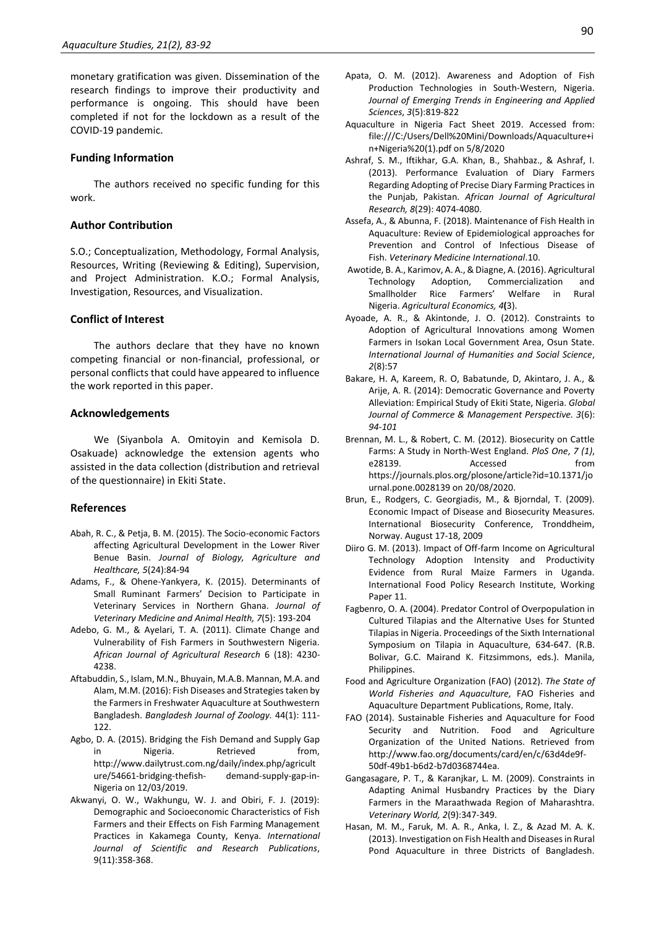monetary gratification was given. Dissemination of the research findings to improve their productivity and performance is ongoing. This should have been completed if not for the lockdown as a result of the COVID-19 pandemic.

#### **Funding Information**

The authors received no specific funding for this work.

## **Author Contribution**

S.O.; Conceptualization, Methodology, Formal Analysis, Resources, Writing (Reviewing & Editing), Supervision, and Project Administration. K.O.; Formal Analysis, Investigation, Resources, and Visualization.

## **Conflict of Interest**

The authors declare that they have no known competing financial or non-financial, professional, or personal conflicts that could have appeared to influence the work reported in this paper.

## **Acknowledgements**

We (Siyanbola A. Omitoyin and Kemisola D. Osakuade) acknowledge the extension agents who assisted in the data collection (distribution and retrieval of the questionnaire) in Ekiti State.

### **References**

- Abah, R. C., & Petja, B. M. (2015). The Socio-economic Factors affecting Agricultural Development in the Lower River Benue Basin. *Journal of Biology, Agriculture and Healthcare, 5*(24):84-94
- Adams, F., & Ohene-Yankyera, K. (2015). Determinants of Small Ruminant Farmers' Decision to Participate in Veterinary Services in Northern Ghana. *Journal of Veterinary Medicine and Animal Health, 7*(5): 193-204
- Adebo, G. M., & Ayelari, T. A. (2011). Climate Change and Vulnerability of Fish Farmers in Southwestern Nigeria. *African Journal of Agricultural Research* 6 (18): 4230- 4238.
- Aftabuddin, S., Islam, M.N., Bhuyain, M.A.B. Mannan, M.A. and Alam, M.M. (2016): Fish Diseases and Strategies taken by the Farmers in Freshwater Aquaculture at Southwestern Bangladesh. *Bangladesh Journal of Zoology.* 44(1): 111- 122.
- Agbo, D. A. (2015). Bridging the Fish Demand and Supply Gap in Nigeria. Retrieved from, http://www.dailytrust.com.ng/daily/index.php/agricult ure/54661-bridging-thefish- demand-supply-gap-in-Nigeria on 12/03/2019.
- Akwanyi, O. W., Wakhungu, W. J. and Obiri, F. J. (2019): Demographic and Socioeconomic Characteristics of Fish Farmers and their Effects on Fish Farming Management Practices in Kakamega County, Kenya. *International Journal of Scientific and Research Publications*, 9(11):358-368.
- Apata, O. M. (2012). Awareness and Adoption of Fish Production Technologies in South-Western, Nigeria. *Journal of Emerging Trends in Engineering and Applied Sciences*, *3*(5):819-822
- Aquaculture in Nigeria Fact Sheet 2019. Accessed from: file:///C:/Users/Dell%20Mini/Downloads/Aquaculture+i n+Nigeria%20(1).pdf on 5/8/2020
- Ashraf, S. M., Iftikhar, G.A. Khan, B., Shahbaz., & Ashraf, I. (2013). Performance Evaluation of Diary Farmers Regarding Adopting of Precise Diary Farming Practices in the Punjab, Pakistan. *African Journal of Agricultural Research, 8*(29): 4074-4080.
- Assefa, A., & Abunna, F. (2018). Maintenance of Fish Health in Aquaculture: Review of Epidemiological approaches for Prevention and Control of Infectious Disease of Fish. *Veterinary Medicine International*.10.
- Awotide, B. A., Karimov, A. A., & Diagne, A. (2016). Agricultural Technology Adoption, Commercialization and Smallholder Rice Farmers' Welfare in Rural Nigeria. *Agricultural Economics, 4***(**3).
- Ayoade, A. R., & Akintonde, J. O. (2012). Constraints to Adoption of Agricultural Innovations among Women Farmers in Isokan Local Government Area, Osun State. *International Journal of Humanities and Social Science*, *2*(8):57
- Bakare, H. A, Kareem, R. O, Babatunde, D, Akintaro, J. A., & Arije, A. R. (2014): Democratic Governance and Poverty Alleviation: Empirical Study of Ekiti State, Nigeria. *Global Journal of Commerce & Management Perspective. 3*(6): *94-101*
- Brennan, M. L., & Robert, C. M. (2012). Biosecurity on Cattle Farms: A Study in North-West England. *PloS One*, *7 (1)*, e28139. Accessed from https://journals.plos.org/plosone/article?id=10.1371/jo urnal.pone.0028139 on 20/08/2020.
- Brun, E., Rodgers, C. Georgiadis, M., & Bjorndal, T. (2009). Economic Impact of Disease and Biosecurity Measures. International Biosecurity Conference, Tronddheim, Norway. August 17-18, 2009
- Diiro G. M. (2013). Impact of Off-farm Income on Agricultural Technology Adoption Intensity and Productivity Evidence from Rural Maize Farmers in Uganda. International Food Policy Research Institute, Working Paper 11.
- Fagbenro, O. A. (2004). Predator Control of Overpopulation in Cultured Tilapias and the Alternative Uses for Stunted Tilapias in Nigeria. Proceedings of the Sixth International Symposium on Tilapia in Aquaculture, 634-647. (R.B. Bolivar, G.C. Mairand K. Fitzsimmons, eds.). Manila, Philippines.
- Food and Agriculture Organization (FAO) (2012). *The State of World Fisheries and Aquaculture,* FAO Fisheries and Aquaculture Department Publications, Rome, Italy.
- FAO (2014). Sustainable Fisheries and Aquaculture for Food Security and Nutrition. Food and Agriculture Organization of the United Nations. Retrieved from http://www.fao.org/documents/card/en/c/63d4de9f-50df-49b1-b6d2-b7d0368744ea.
- Gangasagare, P. T., & Karanjkar, L. M. (2009). Constraints in Adapting Animal Husbandry Practices by the Diary Farmers in the Maraathwada Region of Maharashtra. *Veterinary World, 2*(9):347-349.
- Hasan, M. M., Faruk, M. A. R., Anka, I. Z., & Azad M. A. K. (2013). Investigation on Fish Health and Diseases in Rural Pond Aquaculture in three Districts of Bangladesh.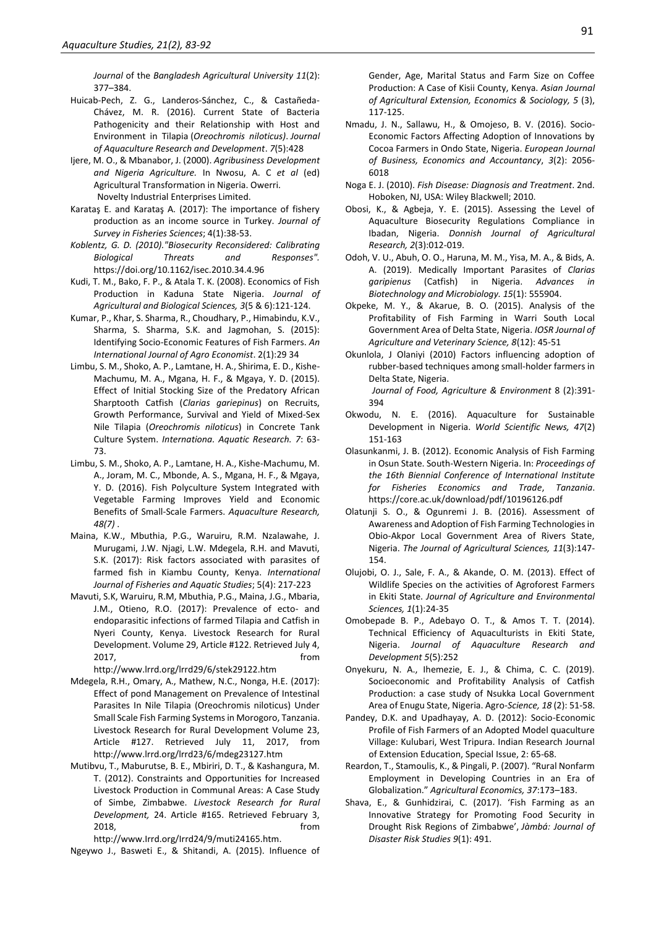*Journal* of the *Bangladesh Agricultural University 11*(2): 377–384.

- Huicab-Pech, Z. G., Landeros-Sánchez, C., & Castañeda-Chávez, M. R. (2016). Current State of Bacteria Pathogenicity and their Relationship with Host and Environment in Tilapia (*Oreochromis niloticus)*. *Journal of Aquaculture Research and Development*. *7*(5):428
- Ijere, M. O., & Mbanabor, J. (2000). *Agribusiness Development and Nigeria Agriculture.* In Nwosu, A. C *et al* (ed) Agricultural Transformation in Nigeria. Owerri. Novelty Industrial Enterprises Limited.
- Karataş E. and Karataş A. (2017): The importance of fishery production as an income source in Turkey. *Journal of Survey in Fisheries Sciences*; 4(1):38-53.
- *Koblentz, G. D. (2010)."Biosecurity Reconsidered: Calibrating Biological Threats and Responses".*  https://doi.org/10.1162/isec.2010.34.4.96
- Kudi, T. M., Bako, F. P., & Atala T. K. (2008). Economics of Fish Production in Kaduna State Nigeria. *Journal of Agricultural and Biological Sciences, 3*(5 & 6):121-124.
- Kumar, P., Khar, S. Sharma, R., Choudhary, P., Himabindu, K.V., Sharma, S. Sharma, S.K. and Jagmohan, S. (2015): Identifying Socio-Economic Features of Fish Farmers. *An International Journal of Agro Economist*. 2(1):29 34
- Limbu, S. M., Shoko, A. P., Lamtane, H. A., Shirima, E. D., Kishe-Machumu, M. A., Mgana, H. F., & Mgaya, Y. D. (2015). Effect of Initial Stocking Size of the Predatory African Sharptooth Catfish (*Clarias gariepinus*) on Recruits, Growth Performance, Survival and Yield of Mixed-Sex Nile Tilapia (*Oreochromis niloticus*) in Concrete Tank Culture System. *Internationa. Aquatic Research. 7*: 63- 73.
- Limbu, S. M., Shoko, A. P., Lamtane, H. A., Kishe-Machumu, M. A., Joram, M. C., Mbonde, A. S., Mgana, H. F., & Mgaya, Y. D. (2016). Fish Polyculture System Integrated with Vegetable Farming Improves Yield and Economic Benefits of Small-Scale Farmers. *Aquaculture Research, 48(7)* .
- Maina, K.W., Mbuthia, P.G., Waruiru, R.M. Nzalawahe, J. Murugami, J.W. Njagi, L.W. Mdegela, R.H. and Mavuti, S.K. (2017): Risk factors associated with parasites of farmed fish in Kiambu County, Kenya. *International Journal of Fisheries and Aquatic Studies*; 5(4): 217-223
- Mavuti, S.K, Waruiru, R.M, Mbuthia, P.G., Maina, J.G., Mbaria, J.M., Otieno, R.O. (2017): Prevalence of ecto- and endoparasitic infections of farmed Tilapia and Catfish in Nyeri County, Kenya. Livestock Research for Rural Development. Volume 29, Article #122. Retrieved July 4, 2017, from

http://www.lrrd.org/lrrd29/6/stek29122.htm

- Mdegela, R.H., Omary, A., Mathew, N.C., Nonga, H.E. (2017): Effect of pond Management on Prevalence of Intestinal Parasites In Nile Tilapia (Oreochromis niloticus) Under Small Scale Fish Farming Systems in Morogoro, Tanzania. Livestock Research for Rural Development Volume 23, Article #127. Retrieved July 11, 2017, from http://www.lrrd.org/lrrd23/6/mdeg23127.htm
- Mutibvu, T., Maburutse, B. E., Mbiriri, D. T., & Kashangura, M. T. (2012). Constraints and Opportunities for Increased Livestock Production in Communal Areas: A Case Study of Simbe, Zimbabwe. *Livestock Research for Rural Development,* 24. Article #165. Retrieved February 3, 2018, from

http://www.Irrd.org/Irrd24/9/muti24165.htm.

Ngeywo J., Basweti E., & Shitandi, A. (2015). Influence of

Gender, Age, Marital Status and Farm Size on Coffee Production: A Case of Kisii County, Kenya. *Asian Journal of Agricultural Extension, Economics & Sociology, 5* (3), 117-125.

- Nmadu, J. N., Sallawu, H., & Omojeso, B. V. (2016). Socio-Economic Factors Affecting Adoption of Innovations by Cocoa Farmers in Ondo State, Nigeria. *European Journal of Business, Economics and Accountancy*, *3*(2): 2056- 6018
- Noga E. J. (2010). *Fish Disease: Diagnosis and Treatment*. 2nd. Hoboken, NJ, USA: Wiley Blackwell; 2010.
- Obosi, K., & Agbeja, Y. E. (2015). Assessing the Level of Aquaculture Biosecurity Regulations Compliance in Ibadan, Nigeria. *Donnish Journal of Agricultural Research, 2*(3):012-019.
- Odoh, V. U., Abuh, O. O., Haruna, M. M., Yisa, M. A., & Bids, A. A. (2019). Medically Important Parasites of *Clarias*  garipienus (Catfish) in Nigeria. Advances *Biotechnology and Microbiology. 15*(1): 555904.
- Okpeke, M. Y., & Akarue, B. O. (2015). Analysis of the Profitability of Fish Farming in Warri South Local Government Area of Delta State, Nigeria. *IOSR Journal of Agriculture and Veterinary Science, 8*(12): 45-51
- Okunlola, J Olaniyi (2010) Factors influencing adoption of rubber-based techniques among small-holder farmers in Delta State, Nigeria.

 *Journal of Food, Agriculture & Environment* 8 (2):391- 394

- Okwodu, N. E. (2016). Aquaculture for Sustainable Development in Nigeria. *World Scientific News, 47*(2) 151-163
- Olasunkanmi, J. B. (2012). Economic Analysis of Fish Farming in Osun State. South-Western Nigeria. In: *Proceedings of the 16th Biennial Conference of International Institute for Fisheries Economics and Trade*, *Tanzania*. https://core.ac.uk/download/pdf/10196126.pdf
- Olatunji S. O., & Ogunremi J. B. (2016). Assessment of Awareness and Adoption of Fish Farming Technologies in Obio-Akpor Local Government Area of Rivers State, Nigeria. *The Journal of Agricultural Sciences, 11*(3):147- 154.
- Olujobi, O. J., Sale, F. A., & Akande, O. M. (2013). Effect of Wildlife Species on the activities of Agroforest Farmers in Ekiti State. *Journal of Agriculture and Environmental Sciences, 1*(1):24-35
- Omobepade B. P., Adebayo O. T., & Amos T. T. (2014). Technical Efficiency of Aquaculturists in Ekiti State, Nigeria. *Journal of Aquaculture Research and Development 5*(5)*:*252
- Onyekuru, N. A., Ihemezie, E. J., & Chima, C. C. (2019). Socioeconomic and Profitability Analysis of Catfish Production: a case study of Nsukka Local Government Area of Enugu State, Nigeria. Agro*-Science, 18* (2): 51-58.
- Pandey, D.K. and Upadhayay, A. D. (2012): Socio-Economic Profile of Fish Farmers of an Adopted Model quaculture Village: Kulubari, West Tripura. Indian Research Journal of Extension Education, Special Issue, 2: 65-68.
- Reardon, T., Stamoulis, K., & Pingali, P. (2007). "Rural Nonfarm Employment in Developing Countries in an Era of Globalization." *Agricultural Economics, 37*:173–183.
- Shava, E., & Gunhidzirai, C. (2017). 'Fish Farming as an Innovative Strategy for Promoting Food Security in Drought Risk Regions of Zimbabwe', *Jàmbá: Journal of Disaster Risk Studies 9*(1): 491.